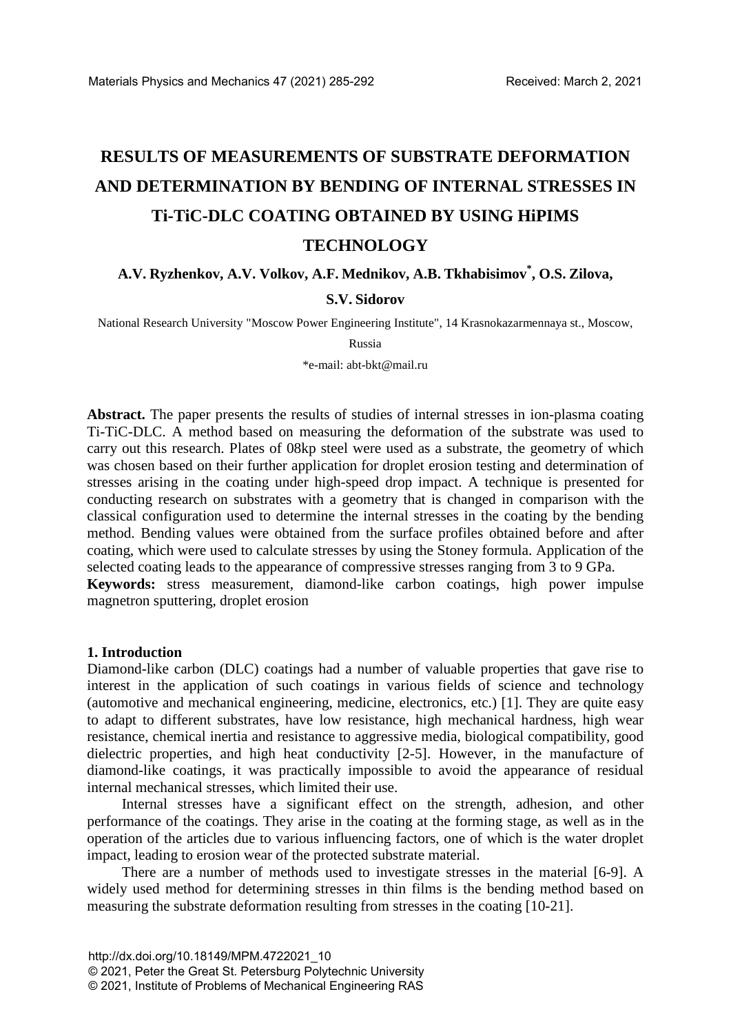# **RESULTS OF MEASUREMENTS OF SUBSTRATE DEFORMATION AND DETERMINATION BY BENDING OF INTERNAL STRESSES IN Ti-TiC-DLC COATING OBTAINED BY USING HiPIMS TECHNOLOGY**

# **A.V. Ryzhenkov, A.V. Volkov, A.F. Mednikov, A.B. Tkhabisimov\* , O.S. Zilova, S.V. Sidorov**

National Research University "Moscow Power Engineering Institute", 14 Krasnokazarmennaya st., Moscow,

Russia

\*e-mail: abt-bkt@mail.ru

**Abstract.** The paper presents the results of studies of internal stresses in ion-plasma coating Ti-TiC-DLC. A method based on measuring the deformation of the substrate was used to carry out this research. Plates of 08kp steel were used as a substrate, the geometry of which was chosen based on their further application for droplet erosion testing and determination of stresses arising in the coating under high-speed drop impact. A technique is presented for conducting research on substrates with a geometry that is changed in comparison with the classical configuration used to determine the internal stresses in the coating by the bending method. Bending values were obtained from the surface profiles obtained before and after coating, which were used to calculate stresses by using the Stoney formula. Application of the selected coating leads to the appearance of compressive stresses ranging from 3 to 9 GPa.

**Keywords:** stress measurement, diamond-like carbon coatings, high power impulse magnetron sputtering, droplet erosion

#### **1. Introduction**

Diamond-like carbon (DLC) coatings had a number of valuable properties that gave rise to interest in the application of such coatings in various fields of science and technology (automotive and mechanical engineering, medicine, electronics, etc.) [1]. They are quite easy to adapt to different substrates, have low resistance, high mechanical hardness, high wear resistance, chemical inertia and resistance to aggressive media, biological compatibility, good dielectric properties, and high heat conductivity [2-5]. However, in the manufacture of diamond-like coatings, it was practically impossible to avoid the appearance of residual internal mechanical stresses, which limited their use.

Internal stresses have a significant effect on the strength, adhesion, and other performance of the coatings. They arise in the coating at the forming stage, as well as in the operation of the articles due to various influencing factors, one of which is the water droplet impact, leading to erosion wear of the protected substrate material.

There are a number of methods used to investigate stresses in the material [6-9]. A widely used method for determining stresses in thin films is the bending method based on measuring the substrate deformation resulting from stresses in the coating [10-21].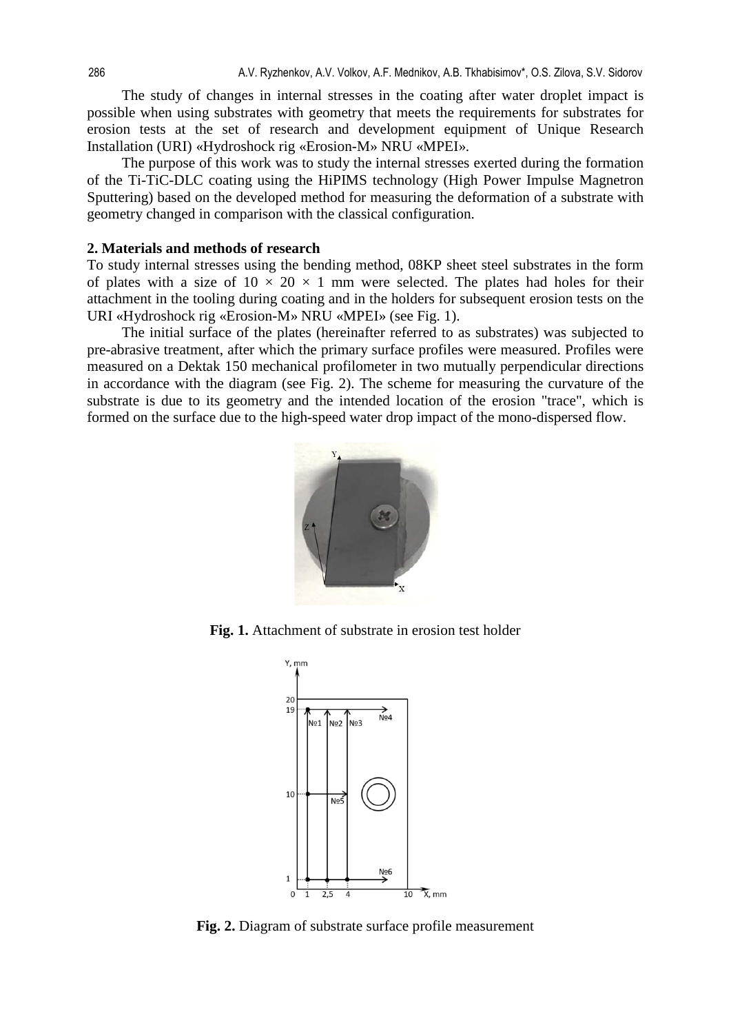The study of changes in internal stresses in the coating after water droplet impact is possible when using substrates with geometry that meets the requirements for substrates for erosion tests at the set of research and development equipment of Unique Research Installation (URI) «Hydroshock rig «Erosion-M» NRU «MPEI».

The purpose of this work was to study the internal stresses exerted during the formation of the Ti-TiC-DLC coating using the HiPIMS technology (High Power Impulse Magnetron Sputtering) based on the developed method for measuring the deformation of a substrate with geometry changed in comparison with the classical configuration.

#### **2. Materials and methods of research**

To study internal stresses using the bending method, 08KP sheet steel substrates in the form of plates with a size of  $10 \times 20 \times 1$  mm were selected. The plates had holes for their attachment in the tooling during coating and in the holders for subsequent erosion tests on the URI «Hydroshock rig «Erosion-M» NRU «MPEI» (see Fig. 1).

The initial surface of the plates (hereinafter referred to as substrates) was subjected to pre-abrasive treatment, after which the primary surface profiles were measured. Profiles were measured on a Dektak 150 mechanical profilometer in two mutually perpendicular directions in accordance with the diagram (see Fig. 2). The scheme for measuring the curvature of the substrate is due to its geometry and the intended location of the erosion "trace", which is formed on the surface due to the high-speed water drop impact of the mono-dispersed flow.



**Fig. 1.** Attachment of substrate in erosion test holder



**Fig. 2.** Diagram of substrate surface profile measurement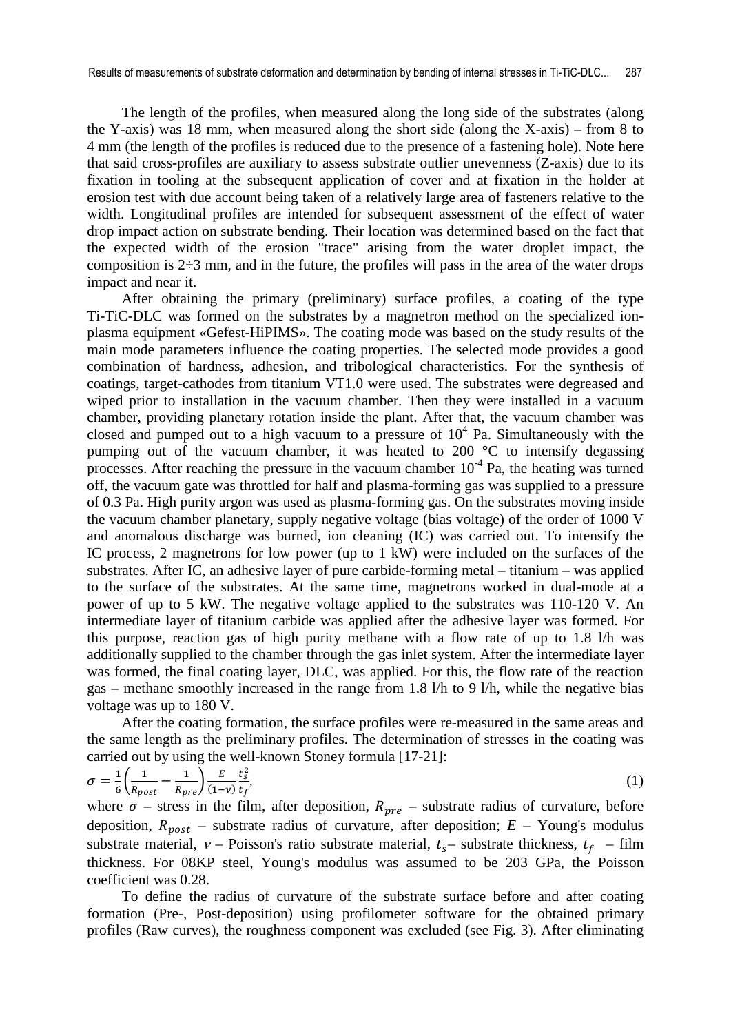The length of the profiles, when measured along the long side of the substrates (along the Y-axis) was 18 mm, when measured along the short side (along the X-axis) – from 8 to 4 mm (the length of the profiles is reduced due to the presence of a fastening hole). Note here that said cross-profiles are auxiliary to assess substrate outlier unevenness (Z-axis) due to its fixation in tooling at the subsequent application of cover and at fixation in the holder at erosion test with due account being taken of a relatively large area of fasteners relative to the width. Longitudinal profiles are intended for subsequent assessment of the effect of water drop impact action on substrate bending. Their location was determined based on the fact that the expected width of the erosion "trace" arising from the water droplet impact, the composition is  $2\div 3$  mm, and in the future, the profiles will pass in the area of the water drops impact and near it.

After obtaining the primary (preliminary) surface profiles, a coating of the type Ti-TiC-DLC was formed on the substrates by a magnetron method on the specialized ionplasma equipment «Gefest-HiPIMS». The coating mode was based on the study results of the main mode parameters influence the coating properties. The selected mode provides a good combination of hardness, adhesion, and tribological characteristics. For the synthesis of coatings, target-cathodes from titanium VT1.0 were used. The substrates were degreased and wiped prior to installation in the vacuum chamber. Then they were installed in a vacuum chamber, providing planetary rotation inside the plant. After that, the vacuum chamber was closed and pumped out to a high vacuum to a pressure of  $10<sup>4</sup>$  Pa. Simultaneously with the pumping out of the vacuum chamber, it was heated to 200 °C to intensify degassing processes. After reaching the pressure in the vacuum chamber  $10^{-4}$  Pa, the heating was turned off, the vacuum gate was throttled for half and plasma-forming gas was supplied to a pressure of 0.3 Pa. High purity argon was used as plasma-forming gas. On the substrates moving inside the vacuum chamber planetary, supply negative voltage (bias voltage) of the order of 1000 V and anomalous discharge was burned, ion cleaning (IC) was carried out. To intensify the IC process, 2 magnetrons for low power (up to 1 kW) were included on the surfaces of the substrates. After IC, an adhesive layer of pure carbide-forming metal – titanium – was applied to the surface of the substrates. At the same time, magnetrons worked in dual-mode at a power of up to 5 kW. The negative voltage applied to the substrates was 110-120 V. An intermediate layer of titanium carbide was applied after the adhesive layer was formed. For this purpose, reaction gas of high purity methane with a flow rate of up to 1.8 l/h was additionally supplied to the chamber through the gas inlet system. After the intermediate layer was formed, the final coating layer, DLC, was applied. For this, the flow rate of the reaction gas – methane smoothly increased in the range from 1.8 l/h to 9 l/h, while the negative bias voltage was up to 180 V.

After the coating formation, the surface profiles were re-measured in the same areas and the same length as the preliminary profiles. The determination of stresses in the coating was carried out by using the well-known Stoney formula [17-21]:

$$
\sigma = \frac{1}{6} \left( \frac{1}{R_{post}} - \frac{1}{R_{pre}} \right) \frac{E}{(1-\nu)} \frac{t_s^2}{t_f},\tag{1}
$$

where  $\sigma$  – stress in the film, after deposition,  $R_{pre}$  – substrate radius of curvature, before deposition,  $R_{post}$  – substrate radius of curvature, after deposition;  $E$  – Young's modulus substrate material,  $v -$  Poisson's ratio substrate material,  $t_s$  – substrate thickness,  $t_f$  – film thickness. For 08KP steel, Young's modulus was assumed to be 203 GPa, the Poisson coefficient was 0.28.

To define the radius of curvature of the substrate surface before and after coating formation (Pre-, Post-deposition) using profilometer software for the obtained primary profiles (Raw curves), the roughness component was excluded (see Fig. 3). After eliminating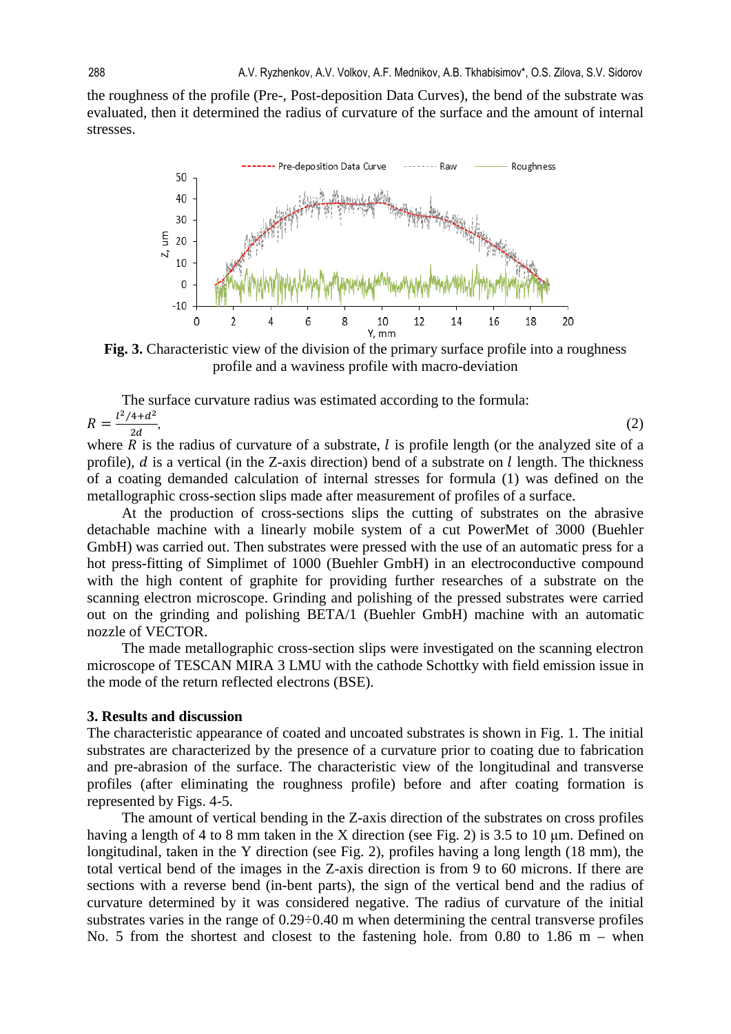the roughness of the profile (Pre-, Post-deposition Data Curves), the bend of the substrate was evaluated, then it determined the radius of curvature of the surface and the amount of internal stresses.



**Fig. 3.** Characteristic view of the division of the primary surface profile into a roughness profile and a waviness profile with macro-deviation

The surface curvature radius was estimated according to the formula:  $R = \frac{l^2/4+d^2}{2d}$  $\frac{4+u}{2d}$ , (2)

where  $R$  is the radius of curvature of a substrate,  $l$  is profile length (or the analyzed site of a profile),  $d$  is a vertical (in the Z-axis direction) bend of a substrate on  $l$  length. The thickness of a coating demanded calculation of internal stresses for formula (1) was defined on the metallographic cross-section slips made after measurement of profiles of a surface.

At the production of cross-sections slips the cutting of substrates on the abrasive detachable machine with a linearly mobile system of a cut PowerMet of 3000 (Buehler GmbH) was carried out. Then substrates were pressed with the use of an automatic press for a hot press-fitting of Simplimet of 1000 (Buehler GmbH) in an electroconductive compound with the high content of graphite for providing further researches of a substrate on the scanning electron microscope. Grinding and polishing of the pressed substrates were carried out on the grinding and polishing BETA/1 (Buehler GmbH) machine with an automatic nozzle of VECTOR.

The made metallographic cross-section slips were investigated on the scanning electron microscope of TESCAN MIRA 3 LMU with the cathode Schottky with field emission issue in the mode of the return reflected electrons (BSE).

#### **3. Results and discussion**

The characteristic appearance of coated and uncoated substrates is shown in Fig. 1. The initial substrates are characterized by the presence of a curvature prior to coating due to fabrication and pre-abrasion of the surface. The characteristic view of the longitudinal and transverse profiles (after eliminating the roughness profile) before and after coating formation is represented by Figs. 4-5.

The amount of vertical bending in the Z-axis direction of the substrates on cross profiles having a length of 4 to 8 mm taken in the X direction (see Fig. 2) is 3.5 to 10 μm. Defined on longitudinal, taken in the Y direction (see Fig. 2), profiles having a long length (18 mm), the total vertical bend of the images in the Z-axis direction is from 9 to 60 microns. If there are sections with a reverse bend (in-bent parts), the sign of the vertical bend and the radius of curvature determined by it was considered negative. The radius of curvature of the initial substrates varies in the range of 0.29÷0.40 m when determining the central transverse profiles No. 5 from the shortest and closest to the fastening hole. from 0.80 to 1.86 m – when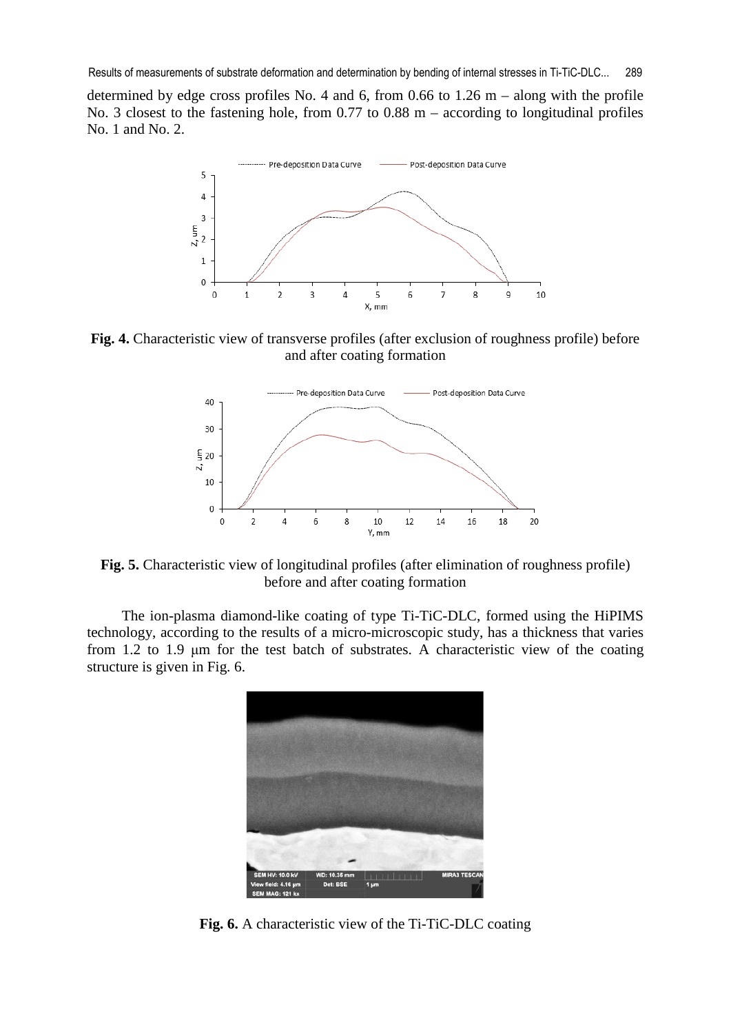determined by edge cross profiles No. 4 and 6, from 0.66 to  $1.26$  m – along with the profile No. 3 closest to the fastening hole, from 0.77 to 0.88 m – according to longitudinal profiles No. 1 and No. 2.



**Fig. 4.** Characteristic view of transverse profiles (after exclusion of roughness profile) before and after coating formation



**Fig. 5.** Characteristic view of longitudinal profiles (after elimination of roughness profile) before and after coating formation

The ion-plasma diamond-like coating of type Ti-TiC-DLC, formed using the HiPIMS technology, according to the results of a micro-microscopic study, has a thickness that varies from 1.2 to 1.9 μm for the test batch of substrates. A characteristic view of the coating structure is given in Fig. 6.



**Fig. 6.** A characteristic view of the Ti-TiC-DLC coating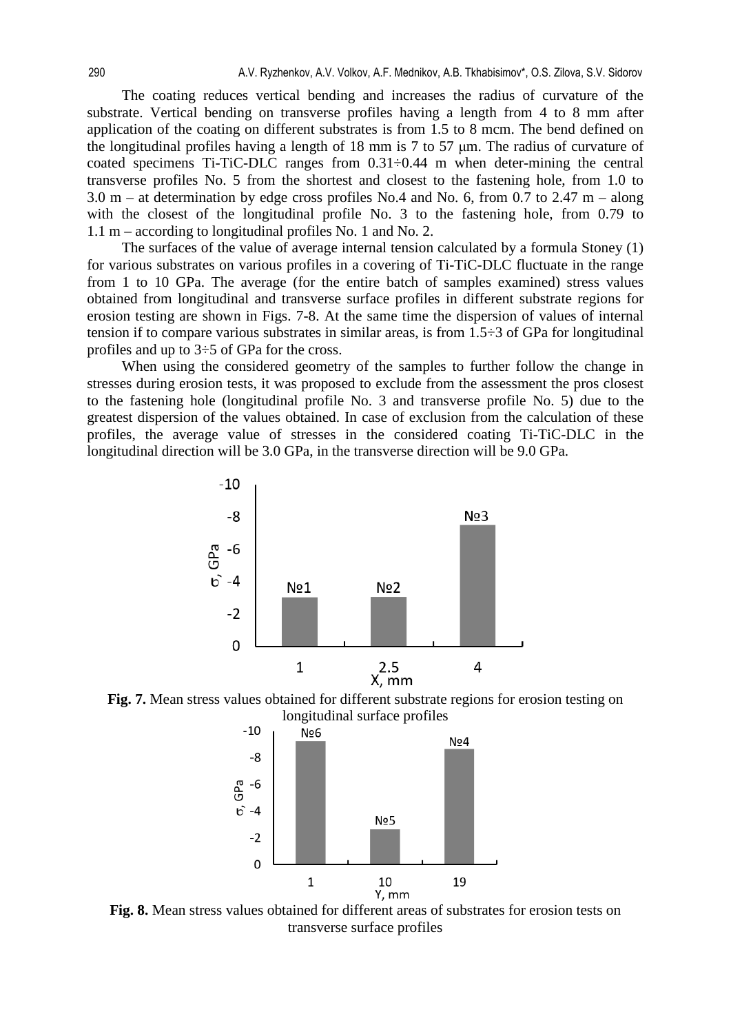The coating reduces vertical bending and increases the radius of curvature of the substrate. Vertical bending on transverse profiles having a length from 4 to 8 mm after application of the coating on different substrates is from 1.5 to 8 mcm. The bend defined on the longitudinal profiles having a length of 18 mm is 7 to 57 μm. The radius of curvature of coated specimens Ti-TiC-DLC ranges from 0.31÷0.44 m when deter-mining the central transverse profiles No. 5 from the shortest and closest to the fastening hole, from 1.0 to 3.0 m – at determination by edge cross profiles No.4 and No. 6, from 0.7 to 2.47 m – along with the closest of the longitudinal profile No. 3 to the fastening hole, from 0.79 to 1.1 m – according to longitudinal profiles No. 1 and No. 2.

The surfaces of the value of average internal tension calculated by a formula Stoney (1) for various substrates on various profiles in a covering of Ti-TiC-DLC fluctuate in the range from 1 to 10 GPa. The average (for the entire batch of samples examined) stress values obtained from longitudinal and transverse surface profiles in different substrate regions for erosion testing are shown in Figs. 7-8. At the same time the dispersion of values of internal tension if to compare various substrates in similar areas, is from  $1.5\div 3$  of GPa for longitudinal profiles and up to 3÷5 of GPa for the cross.

When using the considered geometry of the samples to further follow the change in stresses during erosion tests, it was proposed to exclude from the assessment the pros closest to the fastening hole (longitudinal profile No. 3 and transverse profile No. 5) due to the greatest dispersion of the values obtained. In case of exclusion from the calculation of these profiles, the average value of stresses in the considered coating Ti-TiC-DLC in the longitudinal direction will be 3.0 GPa, in the transverse direction will be 9.0 GPa.



**Fig. 7.** Mean stress values obtained for different substrate regions for erosion testing on longitudinal surface profiles



**Fig. 8.** Mean stress values obtained for different areas of substrates for erosion tests on transverse surface profiles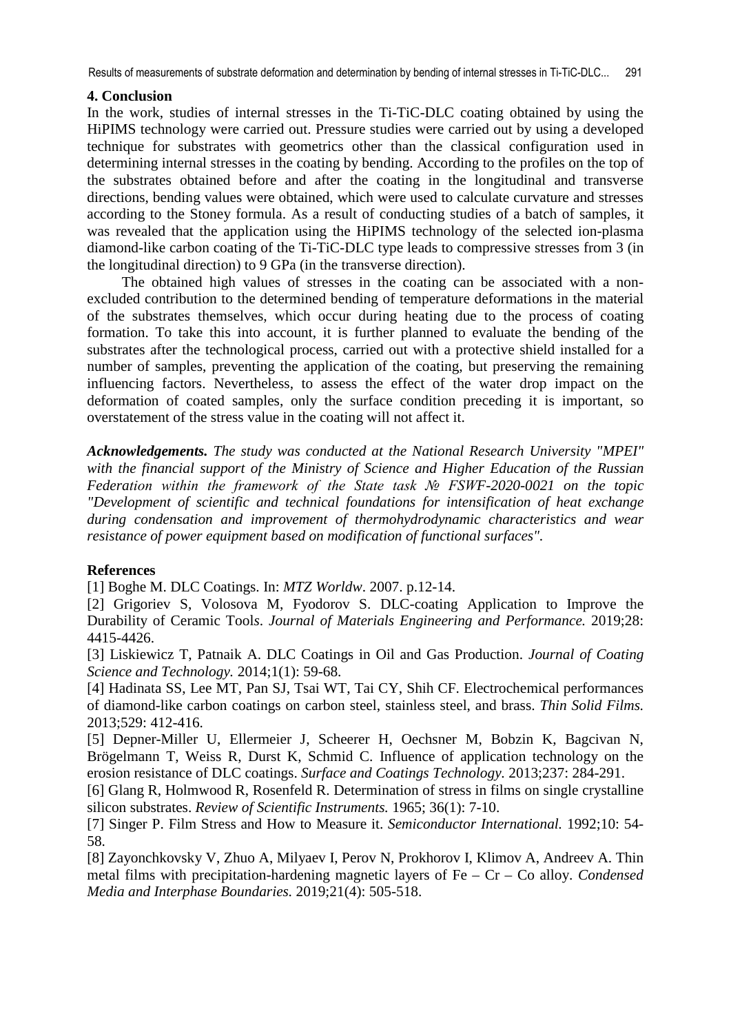Results of measurements of substrate deformation and determination by bending of internal stresses in Ti-TiC-DLC... 291

### **4. Conclusion**

In the work, studies of internal stresses in the Ti-TiC-DLC coating obtained by using the HiPIMS technology were carried out. Pressure studies were carried out by using a developed technique for substrates with geometrics other than the classical configuration used in determining internal stresses in the coating by bending. According to the profiles on the top of the substrates obtained before and after the coating in the longitudinal and transverse directions, bending values were obtained, which were used to calculate curvature and stresses according to the Stoney formula. As a result of conducting studies of a batch of samples, it was revealed that the application using the HiPIMS technology of the selected ion-plasma diamond-like carbon coating of the Ti-TiC-DLC type leads to compressive stresses from 3 (in the longitudinal direction) to 9 GPa (in the transverse direction).

The obtained high values of stresses in the coating can be associated with a nonexcluded contribution to the determined bending of temperature deformations in the material of the substrates themselves, which occur during heating due to the process of coating formation. To take this into account, it is further planned to evaluate the bending of the substrates after the technological process, carried out with a protective shield installed for a number of samples, preventing the application of the coating, but preserving the remaining influencing factors. Nevertheless, to assess the effect of the water drop impact on the deformation of coated samples, only the surface condition preceding it is important, so overstatement of the stress value in the coating will not affect it.

*Acknowledgements. The study was conducted at the National Research University "MPEI" with the financial support of the Ministry of Science and Higher Education of the Russian Federation within the framework of the State task № FSWF-2020-0021 on the topic "Development of scientific and technical foundations for intensification of heat exchange during condensation and improvement of thermohydrodynamic characteristics and wear resistance of power equipment based on modification of functional surfaces".* 

## **References**

[1] Boghe M. DLC Coatings. In: *MTZ Worldw*. 2007. p.12-14.

[2] Grigoriev S, Volosova M, Fyodorov S. DLC-coating Application to Improve the Durability of Ceramic Tool*s*. *Journal of Materials Engineering and Performance.* 2019;28: 4415-4426.

[3] Liskiewicz T, Patnaik A. DLC Coatings in Oil and Gas Production. *Journal of Coating Science and Technology.* 2014;1(1): 59-68.

[4] Hadinata SS, Lee MT, Pan SJ, Tsai WT, Tai CY, Shih CF. Electrochemical performances of diamond-like carbon coatings on carbon steel, stainless steel, and brass. *Thin Solid Films.*  2013;529: 412-416.

[5] Depner-Miller U, Ellermeier J, Scheerer H, Oechsner M, Bobzin K, Bagcivan N, Brögelmann T, Weiss R, Durst K, Schmid C. Influence of application technology on the erosion resistance of DLC coatings. *Surface and Coatings Technology.* 2013;237: 284-291.

[6] Glang R, Holmwood R, Rosenfeld R. Determination of stress in films on single crystalline silicon substrates. *Review of Scientific Instruments.* 1965; 36(1): 7-10.

[7] Singer P. Film Stress and How to Measure it. *Semiconductor International.* 1992;10: 54- 58.

[8] Zayonchkovsky V, Zhuo A, Milyaev I, Perov N, Prokhorov I, Klimov A, Andreev A. Thin metal films with precipitation-hardening magnetic layers of Fe – Cr – Co alloy. *Condensed Media and Interphase Boundaries.* 2019;21(4): 505-518.